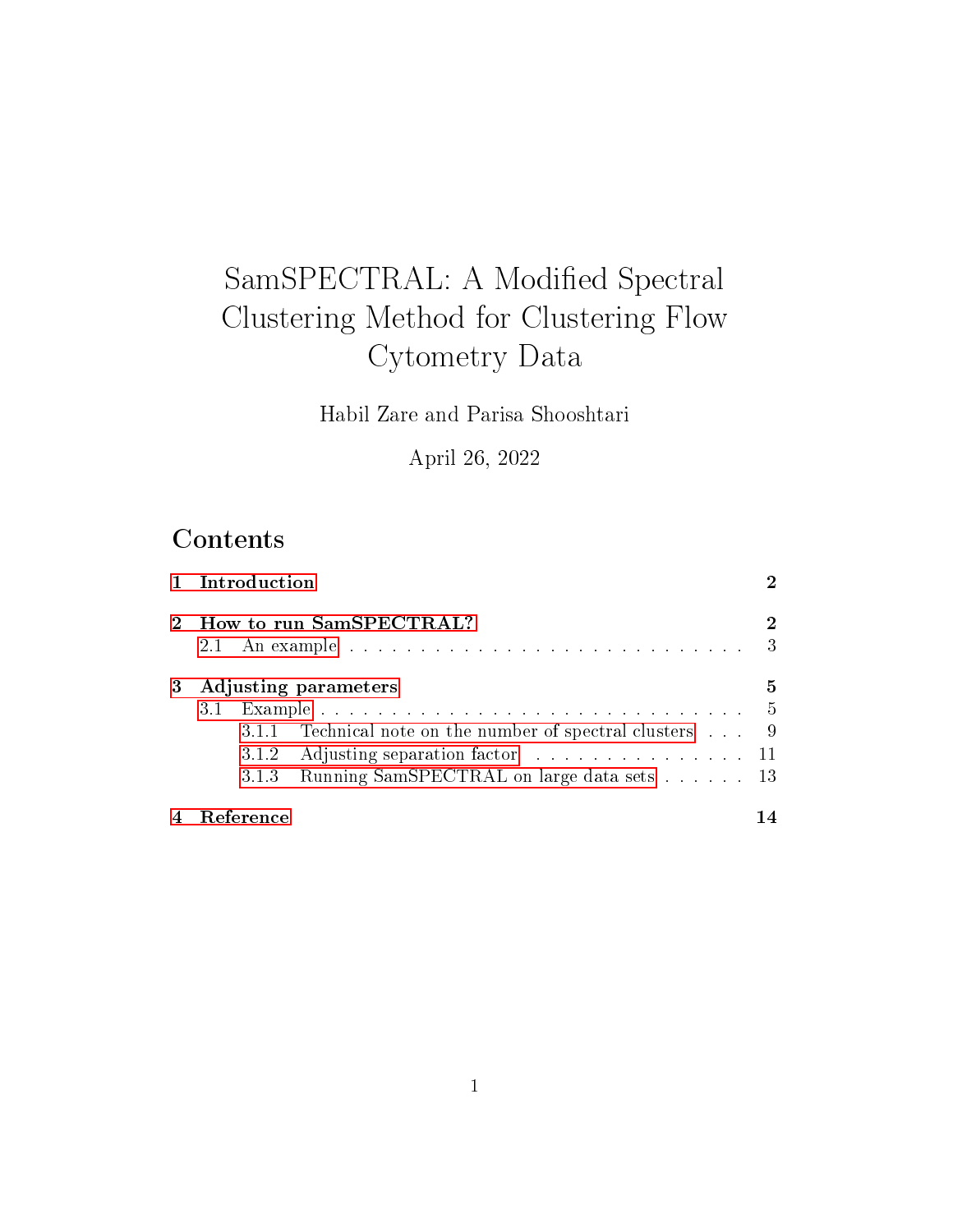# SamSPECTRAL: A Modified Spectral Clustering Method for Clustering Flow Cytometry Data

Habil Zare and Parisa Shooshtari

April 26, 2022

# **Contents**

|   | 1 Introduction                                            |               |
|---|-----------------------------------------------------------|---------------|
|   | How to run SamSPECTRAL?                                   | 2             |
|   |                                                           | $\mathcal{E}$ |
| 3 | Adjusting parameters                                      | 5             |
|   |                                                           |               |
|   | 3.1.1 Technical note on the number of spectral clusters 9 |               |
|   |                                                           |               |
|   | 3.1.3 Running SamSPECTRAL on large data sets 13           |               |
|   | Reference                                                 |               |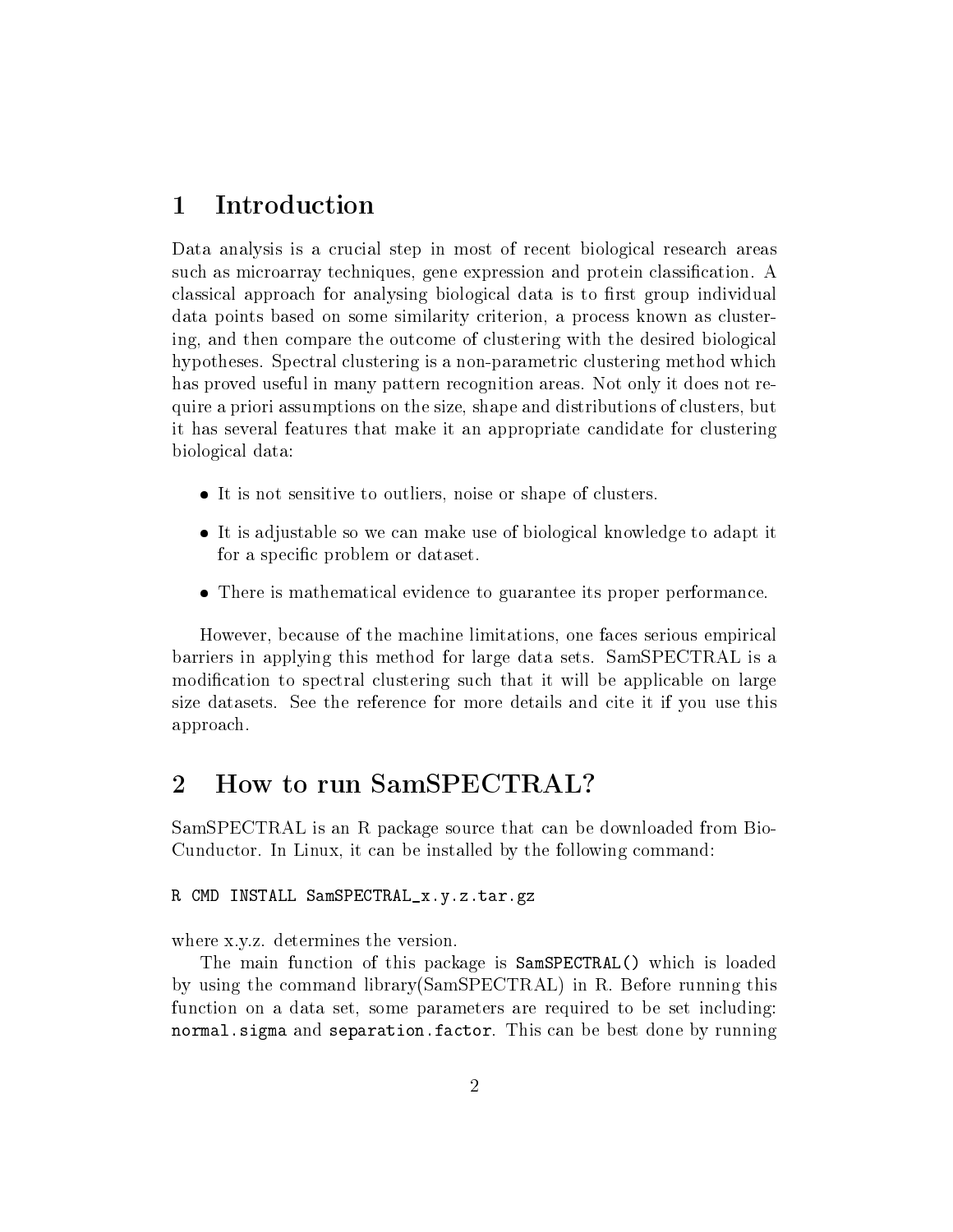### <span id="page-1-0"></span>1 Introduction

Data analysis is a crucial step in most of recent biological research areas such as microarray techniques, gene expression and protein classification. A classical approach for analysing biological data is to first group individual data points based on some similarity criterion, a process known as clustering, and then compare the outcome of clustering with the desired biological hypotheses. Spectral clustering is a non-parametric clustering method which has proved useful in many pattern recognition areas. Not only it does not require a priori assumptions on the size, shape and distributions of clusters, but it has several features that make it an appropriate candidate for clustering biological data:

- It is not sensitive to outliers, noise or shape of clusters.
- It is adjustable so we can make use of biological knowledge to adapt it for a specific problem or dataset.
- There is mathematical evidence to guarantee its proper performance.

However, because of the machine limitations, one faces serious empirical barriers in applying this method for large data sets. SamSPECTRAL is a modification to spectral clustering such that it will be applicable on large size datasets. See the reference for more details and cite it if you use this approach.

### <span id="page-1-1"></span>2 How to run SamSPECTRAL?

SamSPECTRAL is an R package source that can be downloaded from Bio-Cunductor. In Linux, it can be installed by the following command:

#### R CMD INSTALL SamSPECTRAL\_x.y.z.tar.gz

where x.y.z. determines the version.

The main function of this package is SamSPECTRAL() which is loaded by using the command library(SamSPECTRAL) in R. Before running this function on a data set, some parameters are required to be set including: normal.sigma and separation.factor. This can be best done by running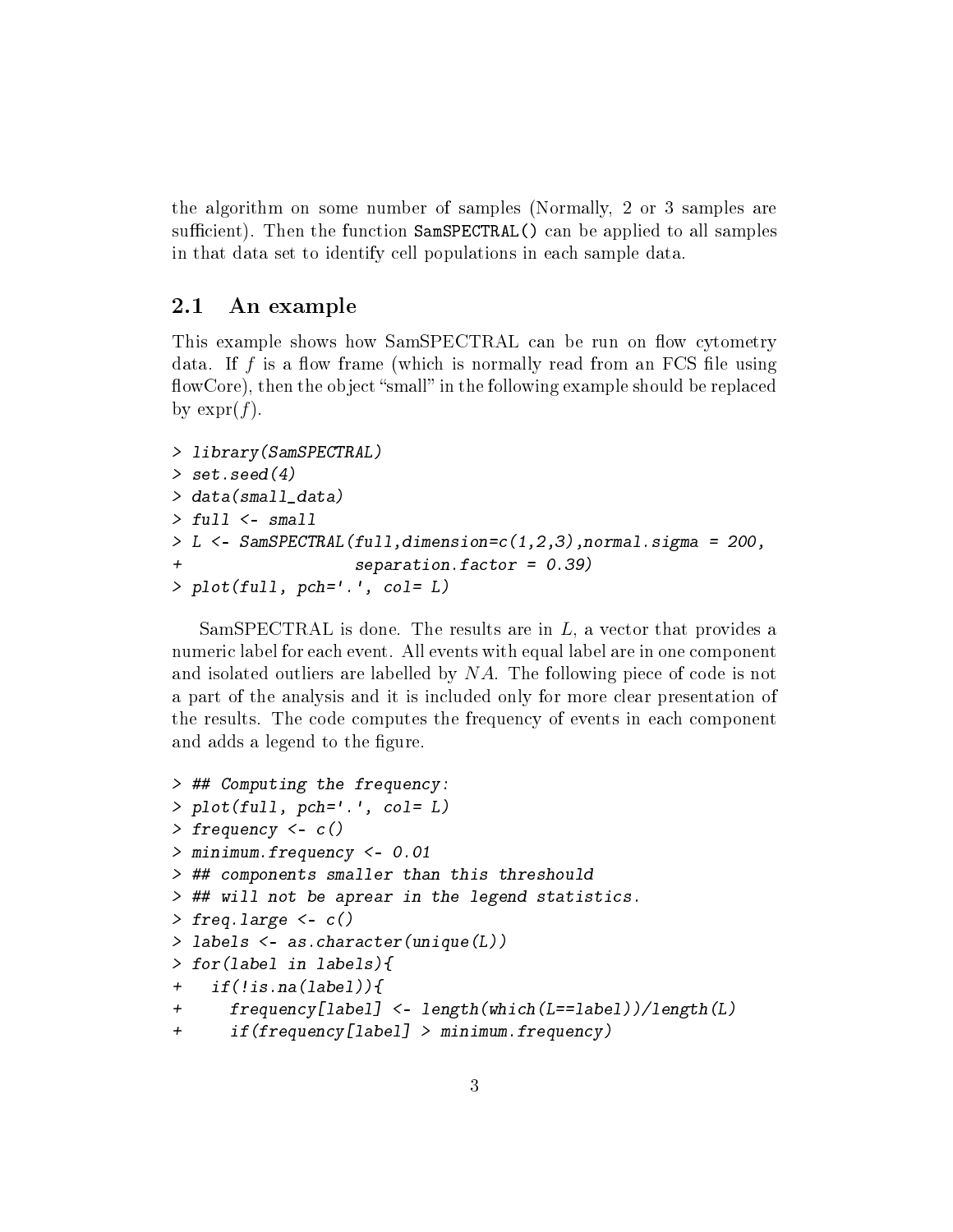the algorithm on some number of samples (Normally, 2 or 3 samples are sufficient). Then the function SamSPECTRAL() can be applied to all samples in that data set to identify cell populations in each sample data.

### <span id="page-2-0"></span>2.1 An example

This example shows how SamSPECTRAL can be run on flow cytometry data. If  $f$  is a flow frame (which is normally read from an FCS file using flowCore), then the object "small" in the following example should be replaced by  $\exp(f)$ .

```
> library(SamSPECTRAL)
> set.seed (4)> data(small_data)
> full <- small
> L <- SamSPECTRAL(full,dimension=c(1,2,3),normal.sigma = 200,
                   separation.factor = 0.39)> plot(full, pch='.', col = L)
```
SamSPECTRAL is done. The results are in  $L$ , a vector that provides a numeric label for each event. All events with equal label are in one component and isolated outliers are labelled by NA. The following piece of code is not a part of the analysis and it is included only for more clear presentation of the results. The code computes the frequency of events in each component and adds a legend to the figure.

```
> ## Computing the frequency:
> plot(full, pch='.', col = L)> frequency <- c()
> minimum.frequency <- 0.01
> ## components smaller than this threshould
> ## will not be aprear in the legend statistics.
> freq.large \leq c()> labels <- as.character(unique(L))
> for(label in labels){
+ if(!is.na(label)){
+ frequency[label] <- length(which(L==label))/length(L)
+ if(frequency[label] > minimum.frequency)
```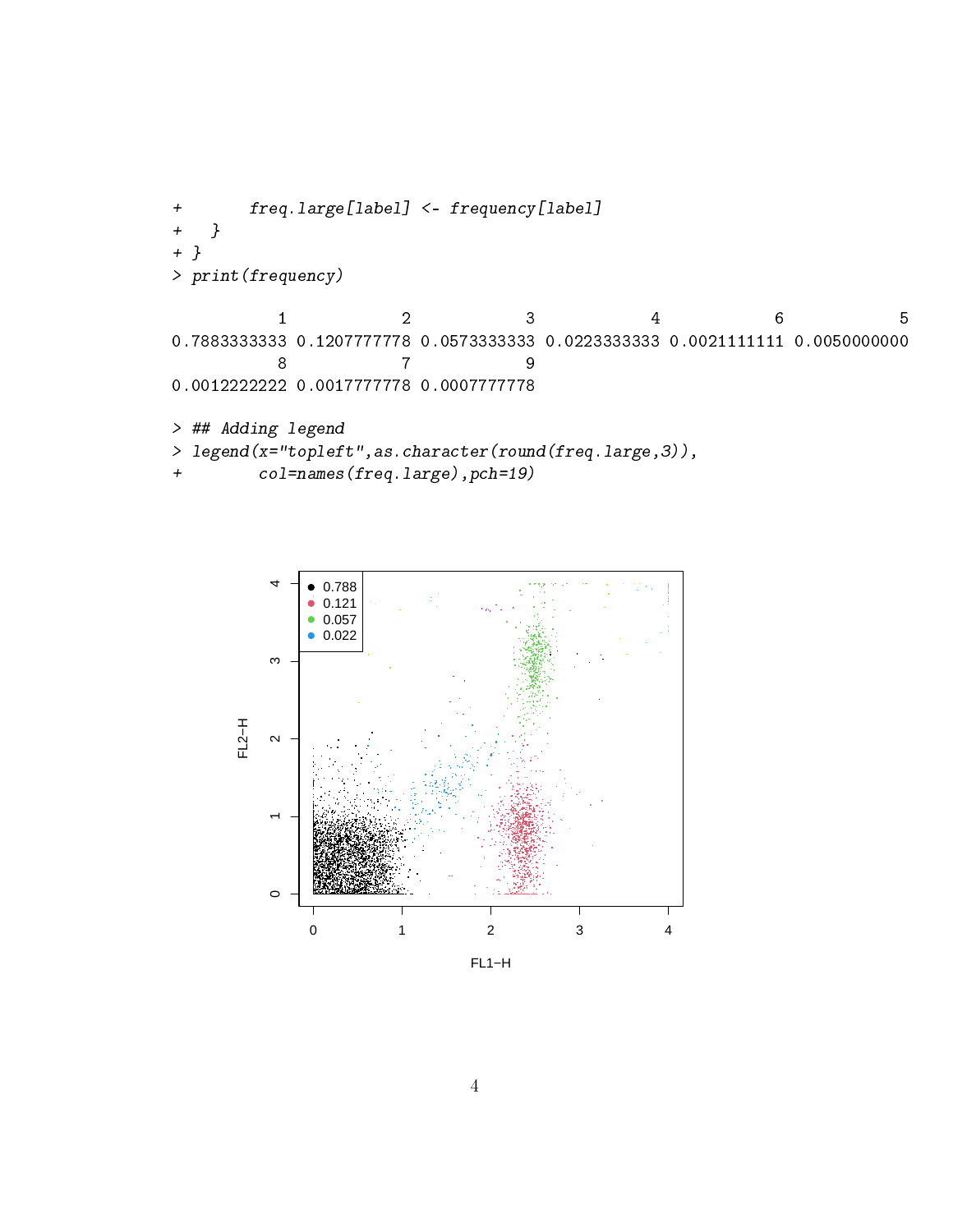```
freq.large[label] <- frequency[label]
+ }
+ }
> print(frequency)
         1 2 3 4 6 5
0.7883333333 0.1207777778 0.0573333333 0.0223333333 0.0021111111 0.0050000000
         8 7 9
0.0012222222 0.0017777778 0.0007777778
> ## Adding legend
> legend(x="topleft",as.character(round(freq.large,3)),
+ col=names(freq.large),pch=19)
```
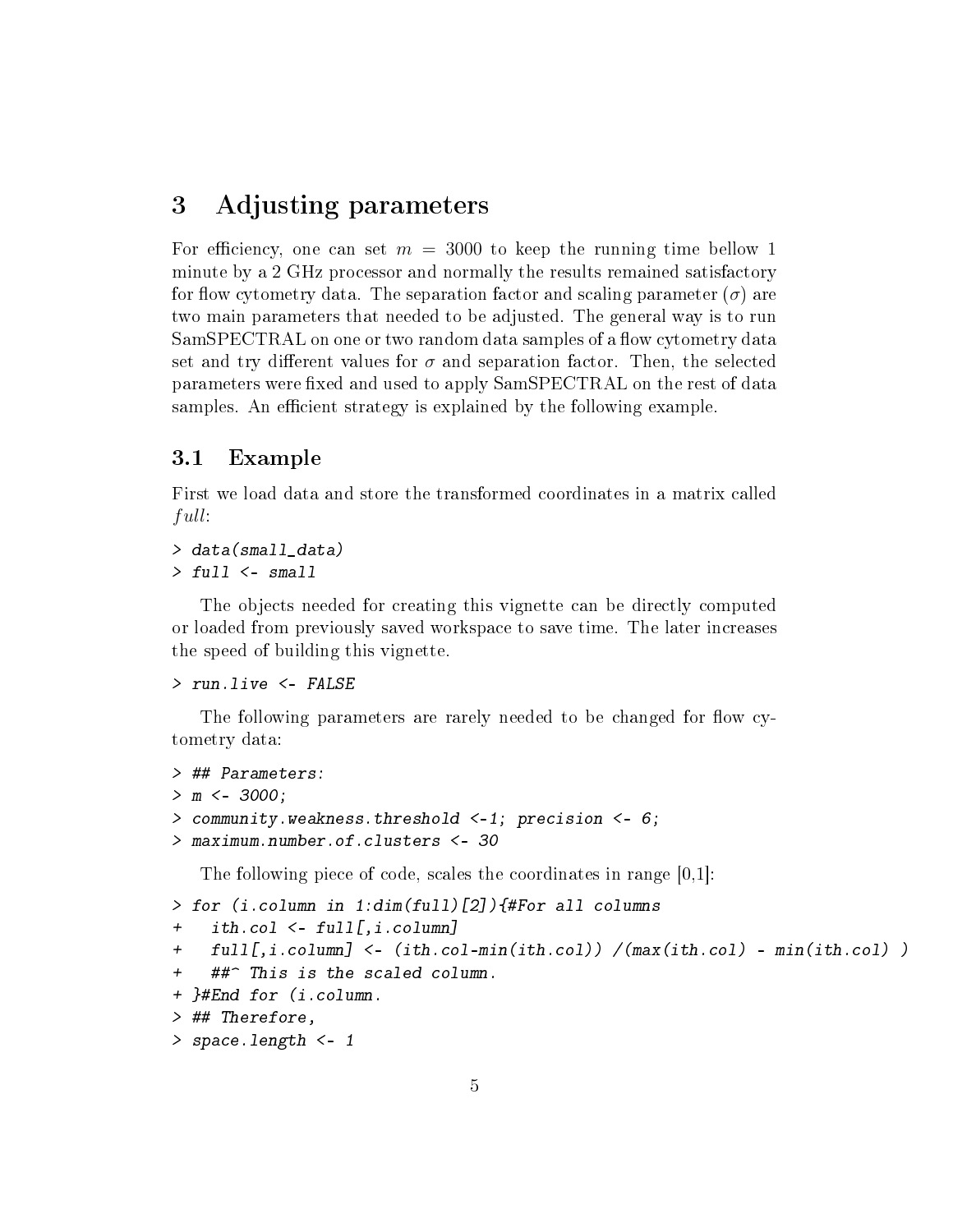### <span id="page-4-0"></span>3 Adjusting parameters

For efficiency, one can set  $m = 3000$  to keep the running time bellow 1 minute by a 2 GHz processor and normally the results remained satisfactory for flow cytometry data. The separation factor and scaling parameter  $(\sigma)$  are two main parameters that needed to be adjusted. The general way is to run SamSPECTRAL on one or two random data samples of a flow cytometry data set and try different values for  $\sigma$  and separation factor. Then, the selected parameters were fixed and used to apply SamSPECTRAL on the rest of data samples. An efficient strategy is explained by the following example.

### <span id="page-4-1"></span>3.1 Example

First we load data and store the transformed coordinates in a matrix called full:

```
> data(small_data)
```
 $> full < - small$ 

The objects needed for creating this vignette can be directly computed or loaded from previously saved workspace to save time. The later increases the speed of building this vignette.

```
> run.live <- FALSE
```
The following parameters are rarely needed to be changed for flow cytometry data:

```
> ## Parameters:
> m < -3000;
> community.weakness.threshold <-1; precision <- 6;
> maximum.number.of.clusters <- 30
```
The following piece of code, scales the coordinates in range [0,1]:

```
> for (i.column in 1:dim(full)[2]){#For all columns
+ ith.col <- full[,i.column]
+ full[,i.column] <- (ith.col-min(ith.col)) /(max(ith.col) - min(ith.col) )
    ##^ This is the scaled column.
+ }#End for (i.column.
> ## Therefore,
> space.length <- 1
```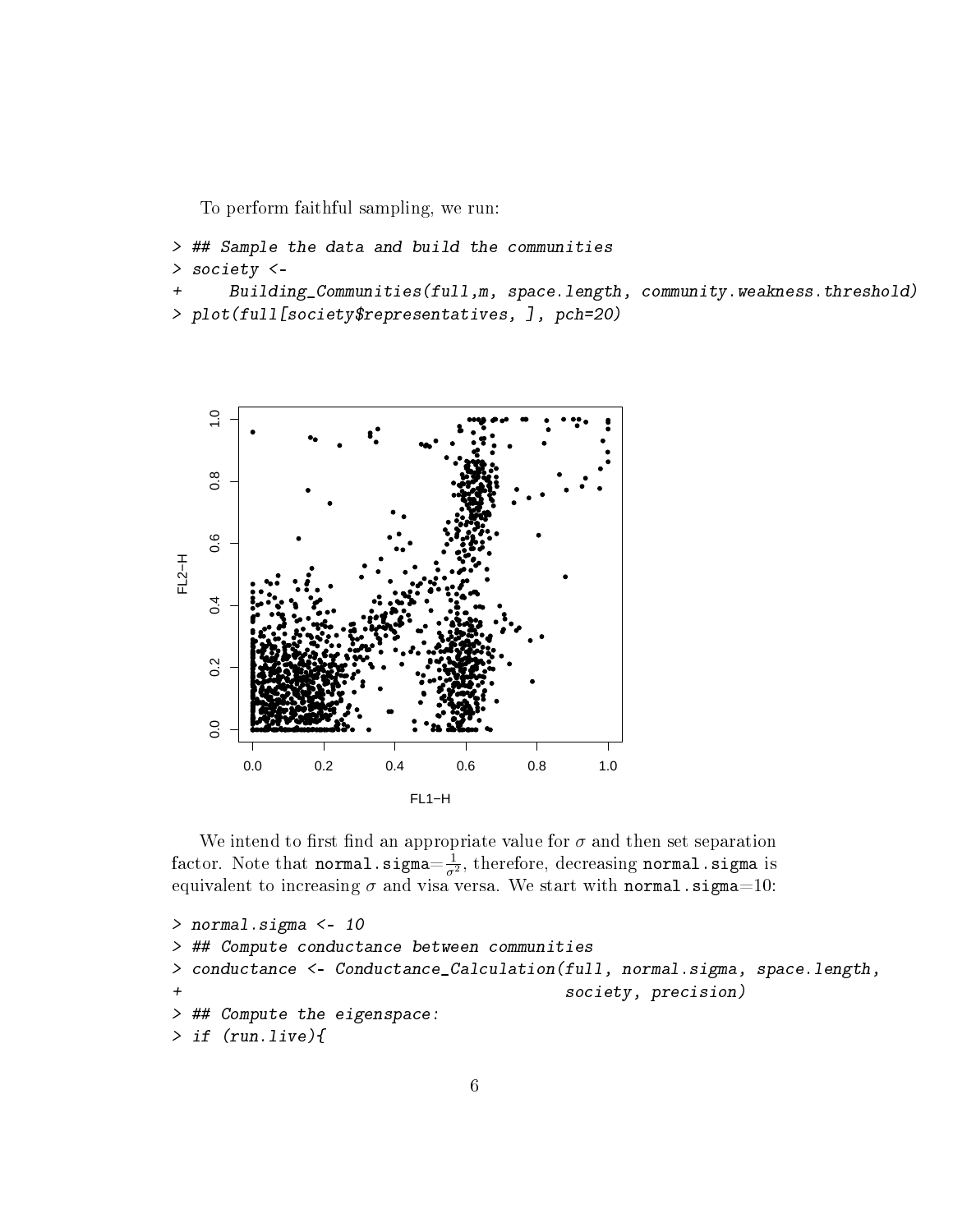To perform faithful sampling, we run:

```
> ## Sample the data and build the communities
> society <-
```

```
+ Building_Communities(full,m, space.length, community.weakness.threshold)
> plot(full[society$representatives, ], pch=20)
```


We intend to first find an appropriate value for  $\sigma$  and then set separation factor. Note that **normal**.sigma $=\frac{1}{\sigma^2}$  $\frac{1}{\sigma^2}$ , therefore, decreasing normal.sigma is equivalent to increasing  $\sigma$  and visa versa. We start with normal.sigma=10:

```
> normal.sigma <- 10
> ## Compute conductance between communities
> conductance <- Conductance_Calculation(full, normal.sigma, space.length,
                                         society, precision)
> ## Compute the eigenspace:
> if (run.live){
```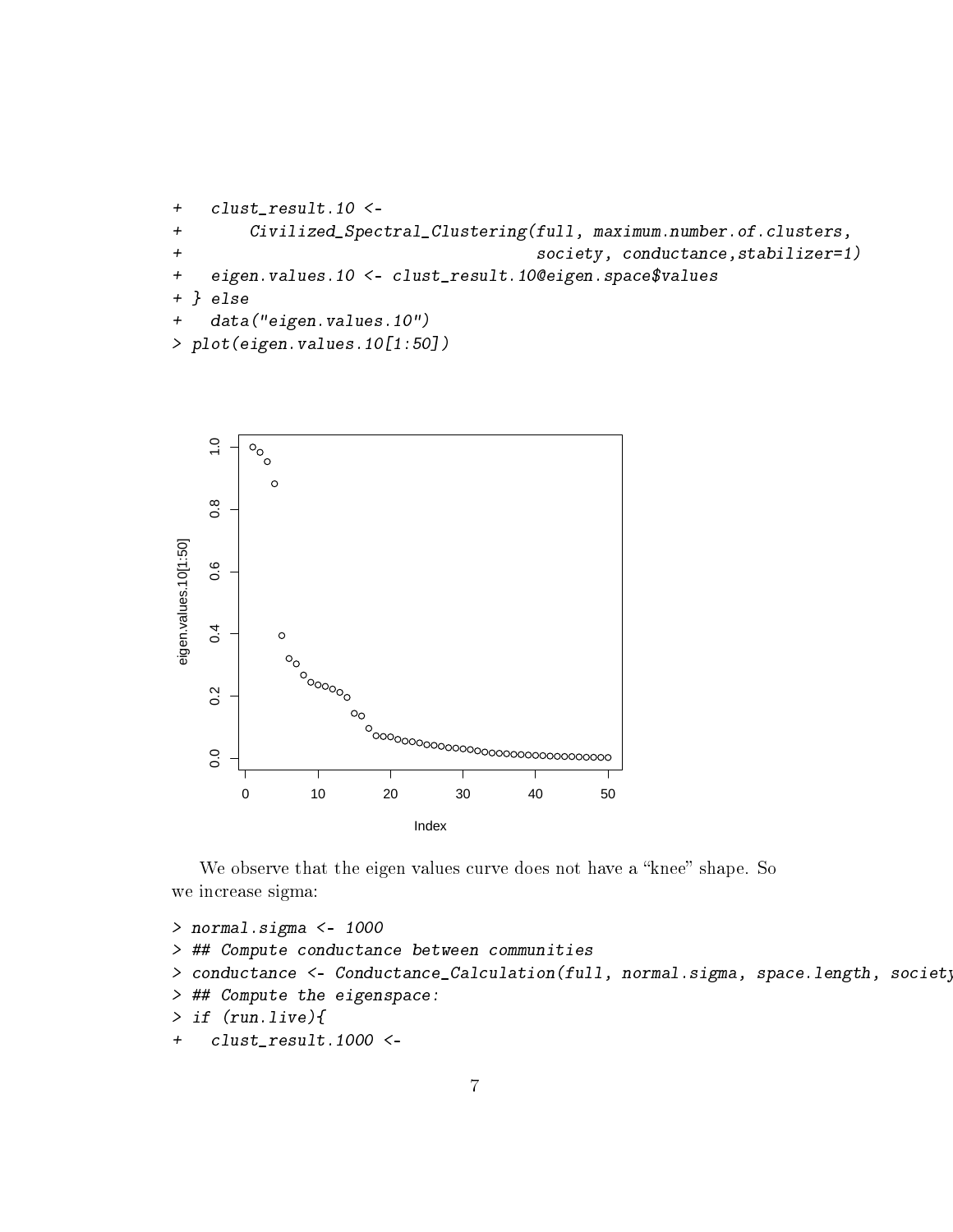```
+ clust_result.10 <-
+ Civilized_Spectral_Clustering(full, maximum.number.of.clusters,
+ society, conductance,stabilizer=1)
+ eigen.values.10 <- clust_result.10@eigen.space$values
+ } else
+ data("eigen.values.10")
> plot(eigen.values.10[1:50])
```


We observe that the eigen values curve does not have a "knee" shape. So we increase sigma:

```
> normal.sigma <- 1000
> ## Compute conductance between communities
> conductance <- Conductance_Calculation(full, normal.sigma, space.length, society
> ## Compute the eigenspace:
> if (run.live){
+ clust_result.1000 <-
```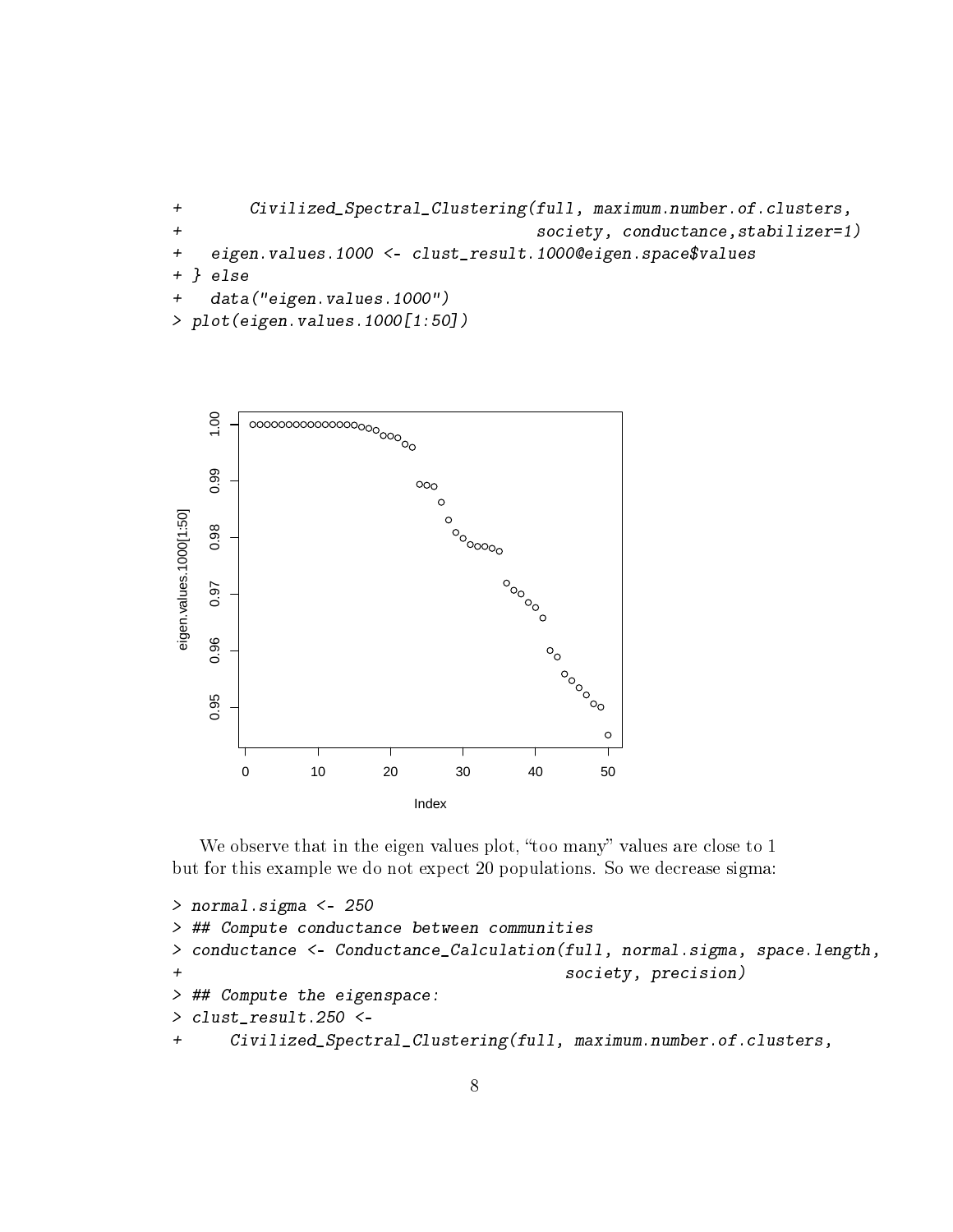```
+ Civilized_Spectral_Clustering(full, maximum.number.of.clusters,
+ society, conductance,stabilizer=1)
+ eigen.values.1000 <- clust_result.1000@eigen.space$values
+ } else
+ data("eigen.values.1000")
> plot(eigen.values.1000[1:50])
```


We observe that in the eigen values plot, "too many" values are close to 1 but for this example we do not expect 20 populations. So we decrease sigma:

```
> normal.sigma <- 250
> ## Compute conductance between communities
> conductance <- Conductance_Calculation(full, normal.sigma, space.length,
+ society, precision)
> ## Compute the eigenspace:
> clust_result.250 <-
+ Civilized_Spectral_Clustering(full, maximum.number.of.clusters,
```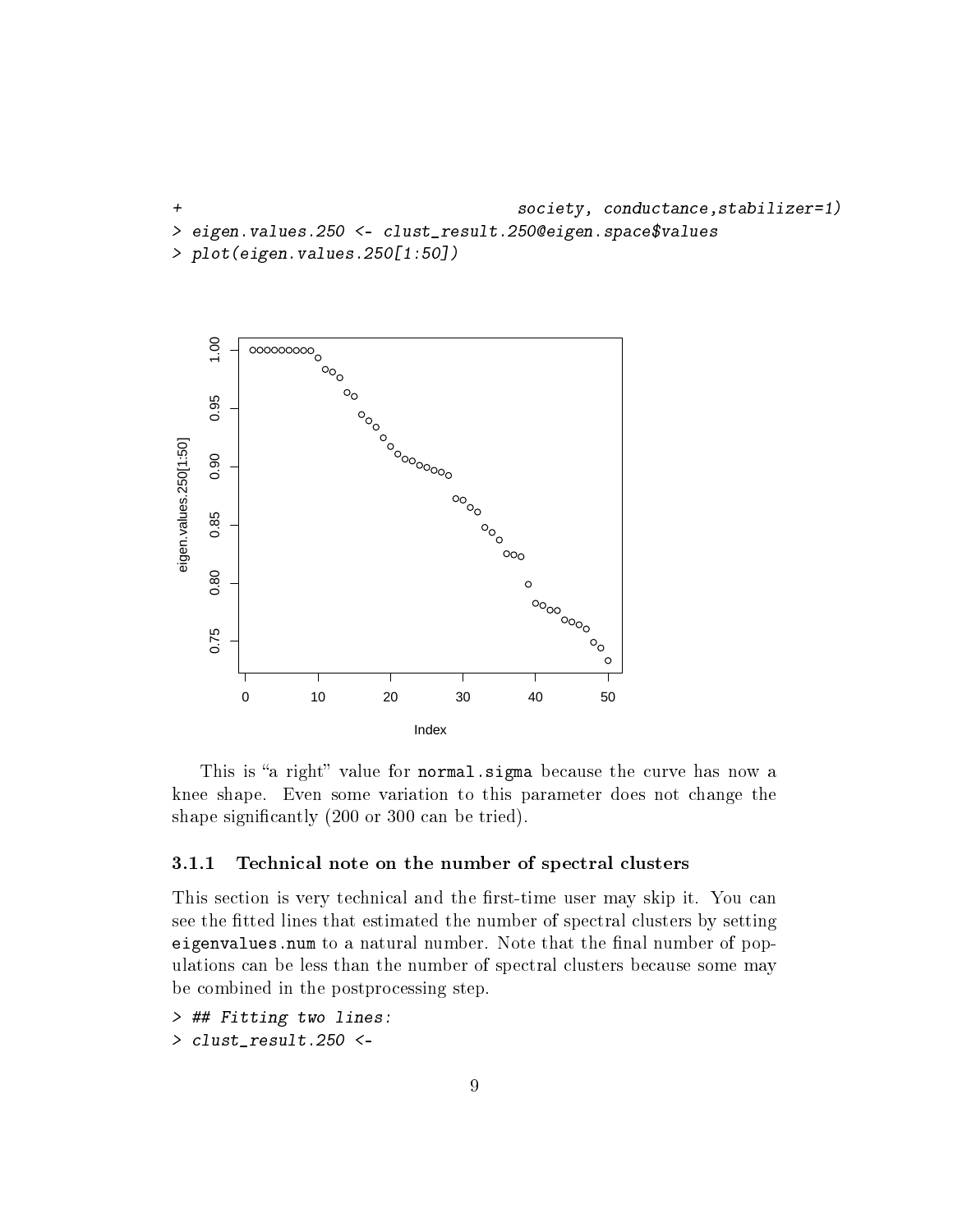+ society, conductance,stabilizer=1) > eigen.values.250 <- clust\_result.250@eigen.space\$values > plot(eigen.values.250[1:50])



This is "a right" value for normal. sigma because the curve has now a knee shape. Even some variation to this parameter does not change the shape significantly (200 or 300 can be tried).

#### <span id="page-8-0"></span>3.1.1 Technical note on the number of spectral clusters

This section is very technical and the first-time user may skip it. You can see the fitted lines that estimated the number of spectral clusters by setting eigenvalues.num to a natural number. Note that the final number of populations can be less than the number of spectral clusters because some may be combined in the postprocessing step.

> ## Fitting two lines: > clust\_result.250 <-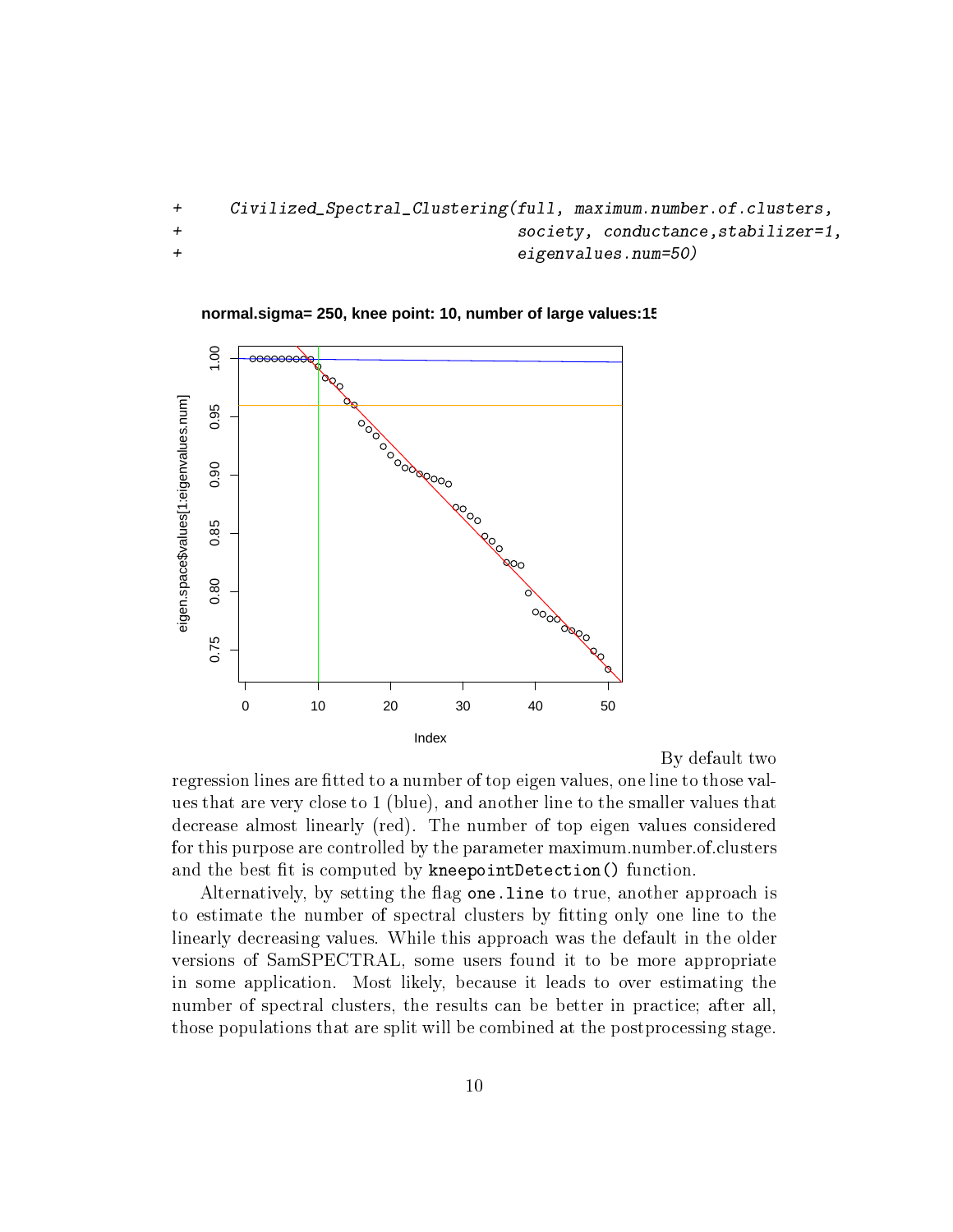```
+ Civilized_Spectral_Clustering(full, maximum.number.of.clusters,
+ society, conductance,stabilizer=1,
+ eigenvalues.num=50)
```


**normal.sigma= 250, knee point: 10, number of large values:15**

By default two

regression lines are fitted to a number of top eigen values, one line to those values that are very close to 1 (blue), and another line to the smaller values that decrease almost linearly (red). The number of top eigen values considered for this purpose are controlled by the parameter maximum.number.of.clusters and the best fit is computed by kneepointDetection() function.

Alternatively, by setting the flag one. Line to true, another approach is to estimate the number of spectral clusters by fitting only one line to the linearly decreasing values. While this approach was the default in the older versions of SamSPECTRAL, some users found it to be more appropriate in some application. Most likely, because it leads to over estimating the number of spectral clusters, the results can be better in practice; after all, those populations that are split will be combined at the postprocessing stage.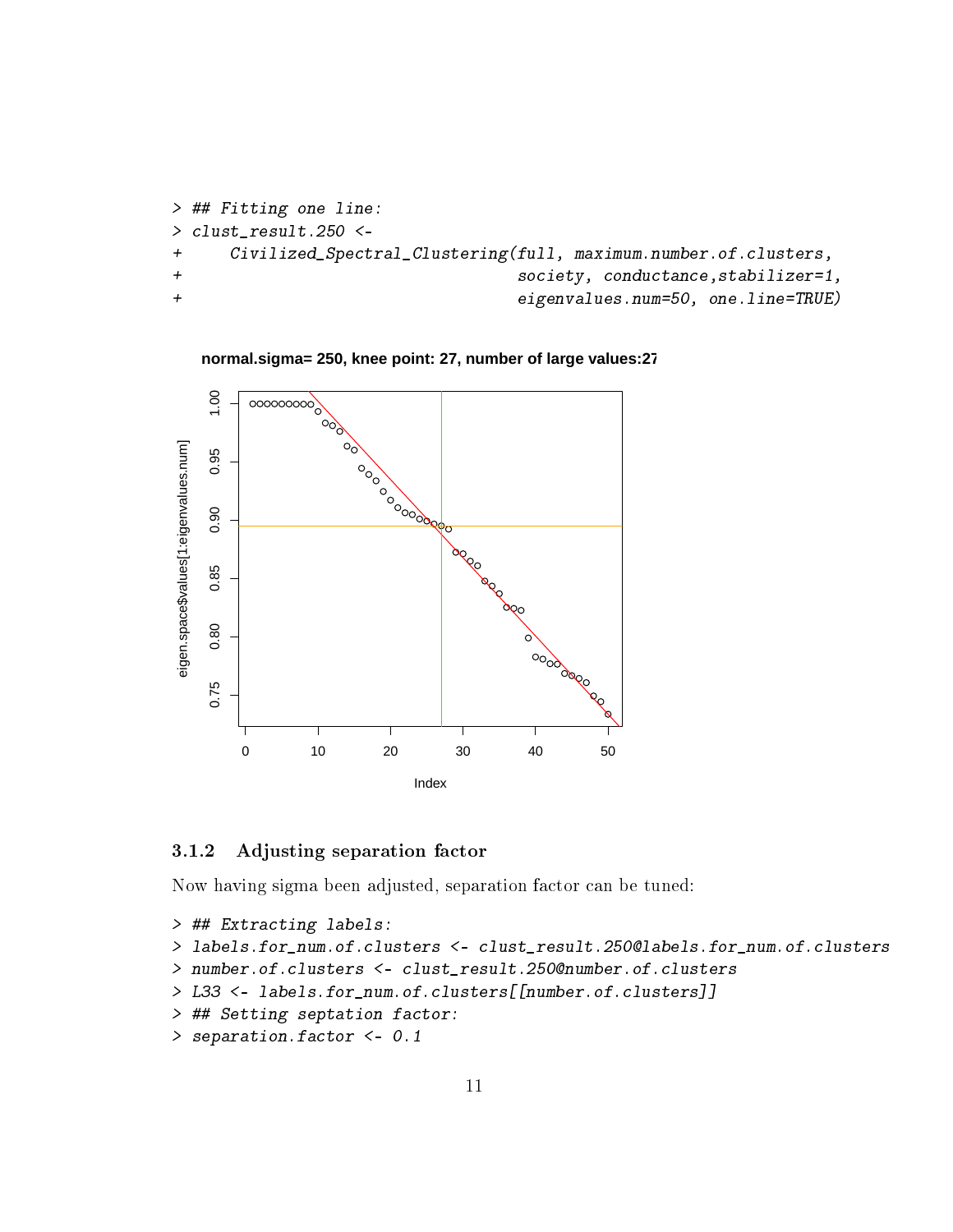```
> ## Fitting one line:
> clust_result.250 <-
+ Civilized_Spectral_Clustering(full, maximum.number.of.clusters,
+ society, conductance,stabilizer=1,
+ eigenvalues.num=50, one.line=TRUE)
```




### <span id="page-10-0"></span>3.1.2 Adjusting separation factor

Now having sigma been adjusted, separation factor can be tuned:

```
> ## Extracting labels:
> labels.for_num.of.clusters <- clust_result.250@labels.for_num.of.clusters
> number.of.clusters <- clust_result.250@number.of.clusters
> L33 <- labels.for_num.of.clusters[[number.of.clusters]]
> ## Setting septation factor:
> separation.factor <- 0.1
```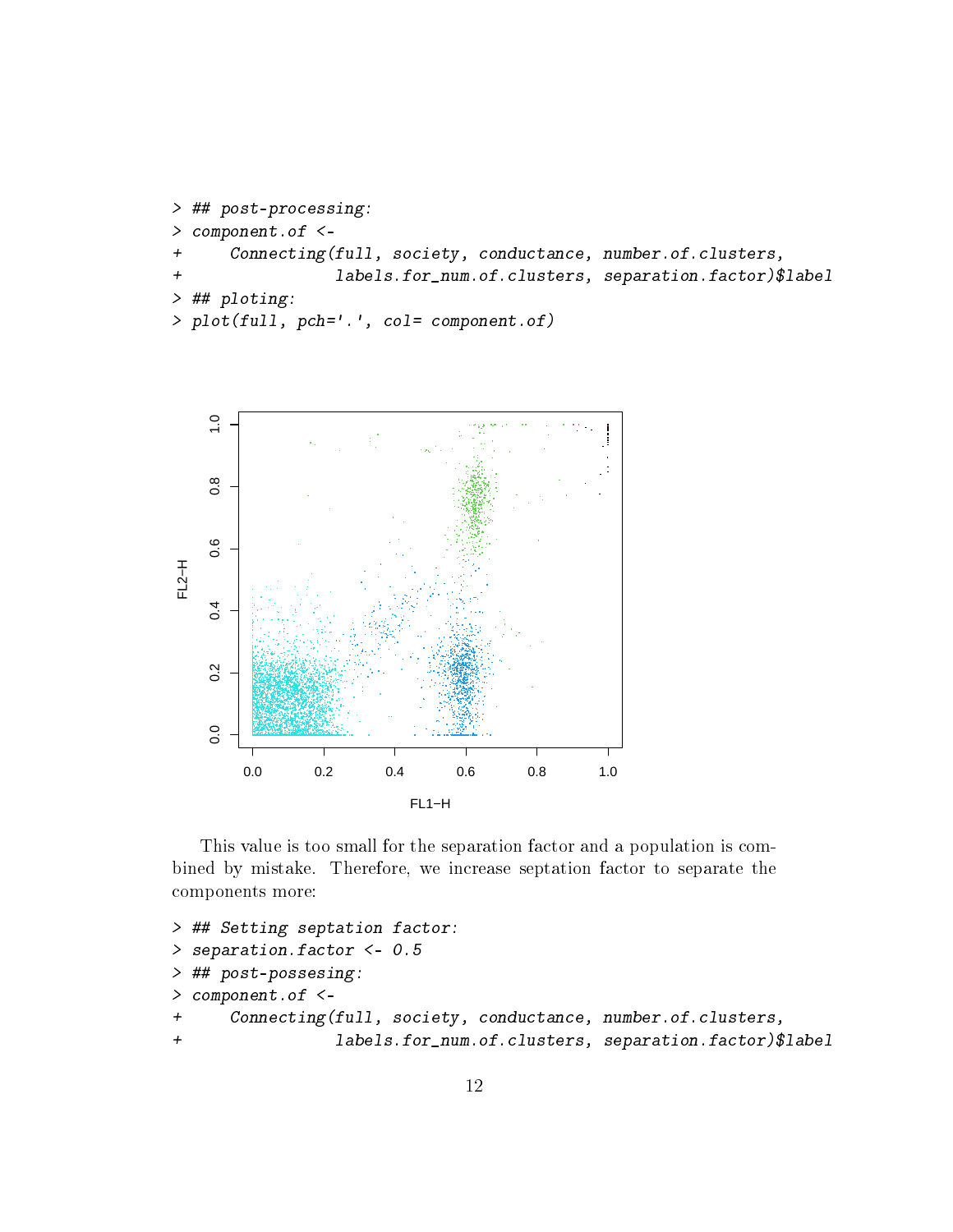```
> ## post-processing:
> component.of <-
+ Connecting(full, society, conductance, number.of.clusters,
+ labels.for_num.of.clusters, separation.factor)$label
> ## ploting:
> plot(full, pch='.', col= component.of)
```


This value is too small for the separation factor and a population is combined by mistake. Therefore, we increase septation factor to separate the components more:

```
> ## Setting septation factor:
> separation.factor <- 0.5
> ## post-possesing:
> component.of <-
+ Connecting(full, society, conductance, number.of.clusters,
+ labels.for_num.of.clusters, separation.factor)$label
```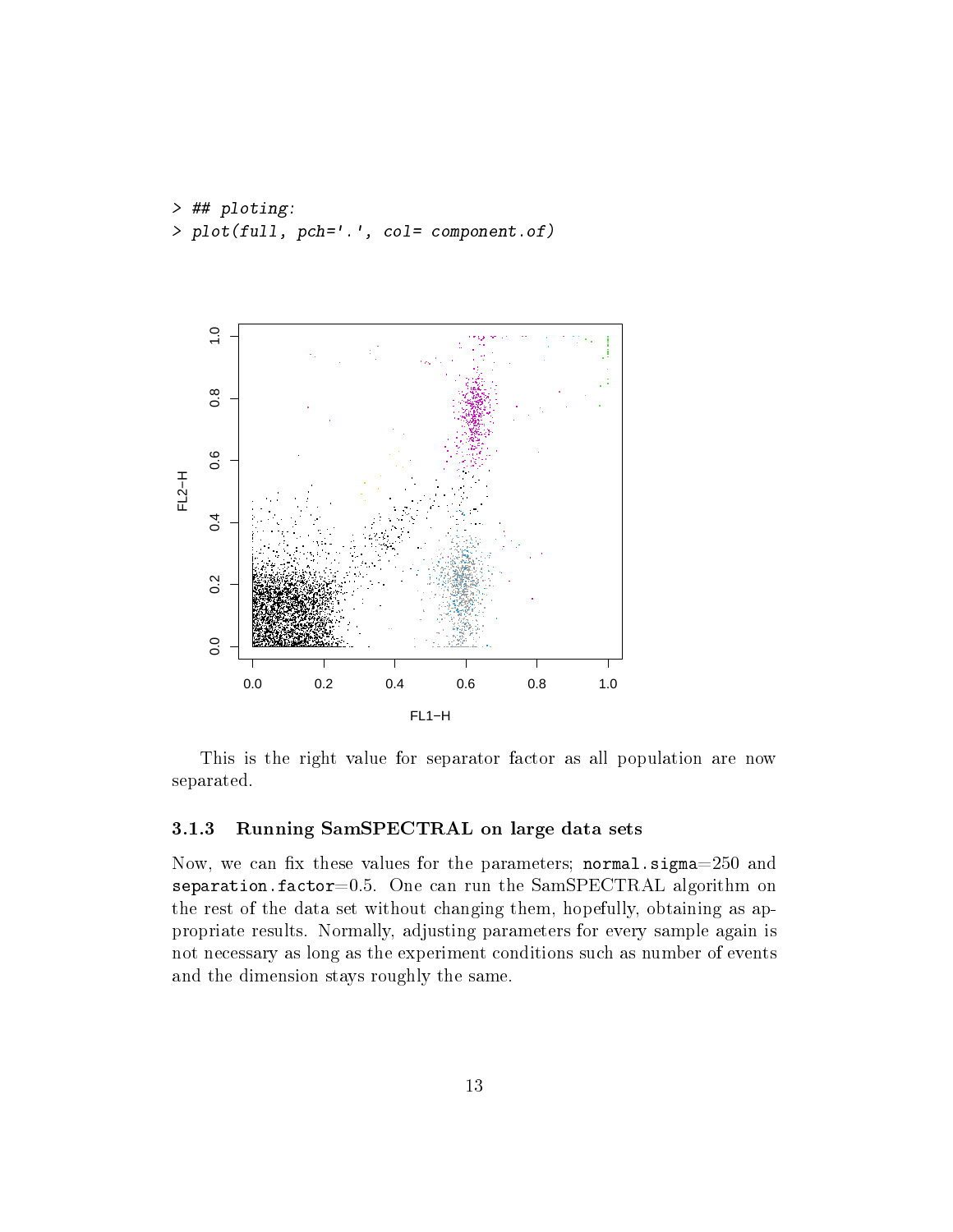> ## ploting: > plot(full, pch='.', col= component.of)



This is the right value for separator factor as all population are now separated.

#### <span id="page-12-0"></span>3.1.3 Running SamSPECTRAL on large data sets

Now, we can fix these values for the parameters;  $normal.sigma=250$  and separation.factor= $0.5$ . One can run the SamSPECTRAL algorithm on the rest of the data set without changing them, hopefully, obtaining as appropriate results. Normally, adjusting parameters for every sample again is not necessary as long as the experiment conditions such as number of events and the dimension stays roughly the same.